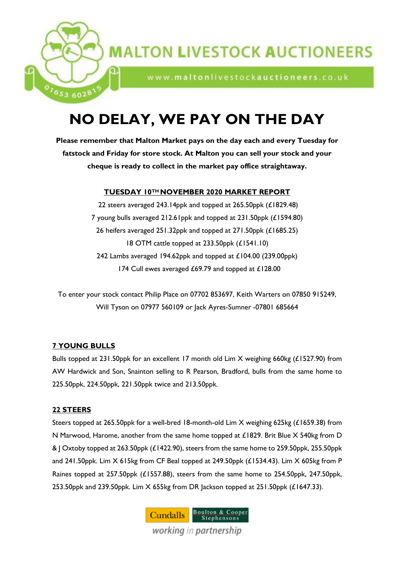

www.maltonlivestockauctioneers.co.uk

# **NO DELAY, WE PAY ON THE DAY**

**Please remember that Malton Market pays on the day each and every Tuesday for fatstock and Friday for store stock. At Malton you can sell your stock and your cheque is ready to collect in the market pay office straightaway.**

# **TUESDAY 10TH NOVEMBER 2020 MARKET REPORT**

22 steers averaged 243.14ppk and topped at 265.50ppk (£1829.48) young bulls averaged 212.61ppk and topped at 231.50ppk (£1594.80) heifers averaged 251.32ppk and topped at 271.50ppk (£1685.25) OTM cattle topped at 233.50ppk (£1541.10) Lambs averaged 194.62ppk and topped at £104.00 (239.00ppk) 174 Cull ewes averaged £69.79 and topped at £128.00

To enter your stock contact Philip Place on 07702 853697, Keith Warters on 07850 915249, Will Tyson on 07977 560109 or Jack Ayres-Sumner -07801 685664

# **7 YOUNG BULLS**

653 6028

Bulls topped at 231.50ppk for an excellent 17 month old Lim X weighing 660kg (£1527.90) from AW Hardwick and Son, Snainton selling to R Pearson, Bradford, bulls from the same home to 225.50ppk, 224.50ppk, 221.50ppk twice and 213.50ppk.

#### **22 STEERS**

Steers topped at 265.50ppk for a well-bred 18-month-old Lim X weighing 625kg (£1659.38) from N Marwood, Harome, another from the same home topped at £1829. Brit Blue X 540kg from D & J Oxtoby topped at 263.50ppk (£1422.90), steers from the same home to 259.50ppk, 255.50ppk and 241.50ppk. Lim X 615kg from CF Beal topped at 249.50ppk (£1534.43). Lim X 605kg from P Raines topped at 257.50ppk (£1557.88), steers from the same home to 254.50ppk, 247.50ppk, 253.50ppk and 239.50ppk. Lim X 655kg from DR Jackson topped at 251.50ppk (£1647.33).

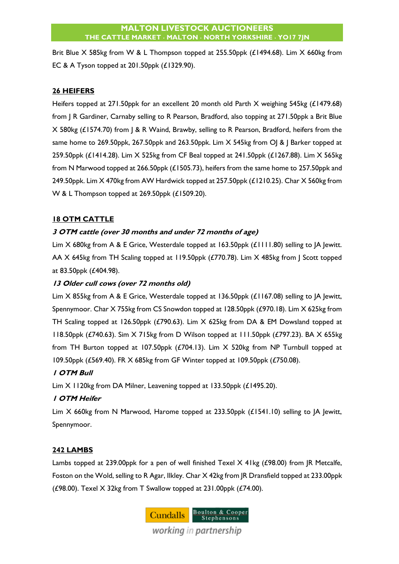Brit Blue X 585kg from W & L Thompson topped at 255.50ppk (£1494.68). Lim X 660kg from EC & A Tyson topped at 201.50ppk (£1329.90).

# **26 HEIFERS**

Heifers topped at 271.50ppk for an excellent 20 month old Parth X weighing 545kg (£1479.68) from J R Gardiner, Carnaby selling to R Pearson, Bradford, also topping at 271.50ppk a Brit Blue X 580kg (£1574.70) from J & R Waind, Brawby, selling to R Pearson, Bradford, heifers from the same home to 269.50ppk, 267.50ppk and 263.50ppk. Lim X 545kg from OJ & J Barker topped at 259.50ppk (£1414.28). Lim X 525kg from CF Beal topped at 241.50ppk (£1267.88). Lim X 565kg from N Marwood topped at 266.50ppk (£1505.73), heifers from the same home to 257.50ppk and 249.50ppk. Lim X 470kg from AW Hardwick topped at 257.50ppk (£1210.25). Char X 560kg from W & L Thompson topped at 269.50ppk (£1509.20).

# **18 OTM CATTLE**

# **3 OTM cattle (over 30 months and under 72 months of age)**

Lim X 680kg from A & E Grice, Westerdale topped at 163.50ppk (£1111.80) selling to JA Jewitt. AA X 645kg from TH Scaling topped at 119.50ppk (£770.78). Lim X 485kg from J Scott topped at 83.50ppk (£404.98).

# **13 Older cull cows (over 72 months old)**

Lim X 855kg from A & E Grice, Westerdale topped at 136.50ppk (£1167.08) selling to JA Jewitt, Spennymoor. Char X 755kg from CS Snowdon topped at 128.50ppk (£970.18). Lim X 625kg from TH Scaling topped at 126.50ppk (£790.63). Lim X 625kg from DA & EM Dowsland topped at 118.50ppk (£740.63). Sim X 715kg from D Wilson topped at 111.50ppk (£797.23). BA X 655kg from TH Burton topped at 107.50ppk (£704.13). Lim X 520kg from NP Turnbull topped at 109.50ppk (£569.40). FR X 685kg from GF Winter topped at 109.50ppk (£750.08).

# **1 OTM Bull**

Lim X 1120kg from DA Milner, Leavening topped at 133.50ppk (£1495.20).

#### **1 OTM Heifer**

Lim X 660kg from N Marwood, Harome topped at 233.50ppk (£1541.10) selling to JA Jewitt, Spennymoor.

# **242 LAMBS**

Lambs topped at 239.00ppk for a pen of well finished Texel  $X$  41kg (£98.00) from JR Metcalfe, Foston on the Wold, selling to R Agar, Ilkley. Char X 42kg from JR Dransfield topped at 233.00ppk ( $E$ 98.00). Texel X 32kg from T Swallow topped at 231.00ppk ( $E$ 74.00).

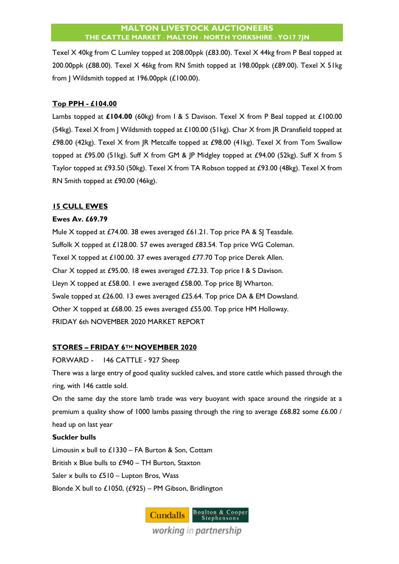Texel X 40kg from C Lumley topped at 208.00ppk (£83.00). Texel X 44kg from P Beal topped at 200.00ppk (£88.00). Texel X 46kg from RN Smith topped at 198.00ppk (£89.00). Texel X 51kg from J Wildsmith topped at 196.00ppk (£100.00).

#### **Top PPH - £104.00**

Lambs topped at **£104.00** (60kg) from I & S Davison. Texel X from P Beal topped at £100.00 (54kg). Texel X from | Wildsmith topped at  $£100.00$  (51kg). Char X from |R Dransfield topped at £98.00 (42kg). Texel X from JR Metcalfe topped at £98.00 (41kg). Texel X from Tom Swallow topped at £95.00 (51kg). Suff X from GM & JP Midgley topped at £94.00 (52kg). Suff X from S Taylor topped at £93.50 (50kg). Texel X from TA Robson topped at £93.00 (48kg). Texel X from RN Smith topped at £90.00 (46kg).

#### **15 CULL EWES**

#### **Ewes Av. £69.79**

Mule X topped at £74.00. 38 ewes averaged £61.21. Top price PA & SJ Teasdale. Suffolk X topped at £128.00. 57 ewes averaged £83.54. Top price WG Coleman. Texel X topped at £100.00. 37 ewes averaged £77.70 Top price Derek Allen. Char X topped at £95.00. 18 ewes averaged £72.33. Top price I & S Davison. Lleyn X topped at £58.00. I ewe averaged £58.00. Top price BJ Wharton. Swale topped at £26.00. 13 ewes averaged £25.64. Top price DA & EM Dowsland. Other X topped at £68.00. 25 ewes averaged £55.00. Top price HM Holloway. FRIDAY 6th NOVEMBER 2020 MARKET REPORT

#### **STORES – FRIDAY 6TH NOVEMBER 2020**

#### FORWARD - 146 CATTLE - 927 Sheep

There was a large entry of good quality suckled calves, and store cattle which passed through the ring, with 146 cattle sold.

On the same day the store lamb trade was very buoyant with space around the ringside at a premium a quality show of 1000 lambs passing through the ring to average £68.82 some £6.00 / head up on last year

#### **Suckler bulls**

Limousin x bull to £1330 – FA Burton & Son, Cottam British x Blue bulls to £940 – TH Burton, Staxton Saler x bulls to  $£510 -$  Lupton Bros, Wass Blonde X bull to £1050, (£925) – PM Gibson, Bridlington

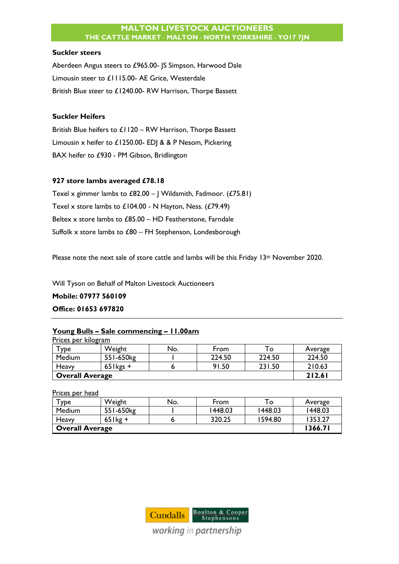#### **Suckler steers**

Aberdeen Angus steers to £965.00- JS Simpson, Harwood Dale Limousin steer to £1115.00- AE Grice, Westerdale British Blue steer to £1240.00- RW Harrison, Thorpe Bassett

#### **Suckler Heifers**

British Blue heifers to £1120 – RW Harrison, Thorpe Bassett Limousin x heifer to £1250.00- EDJ & & P Nesom, Pickering BAX heifer to £930 - PM Gibson, Bridlington

#### **927 store lambs averaged £78.18**

Texel x gimmer lambs to £82.00 – J Wildsmith, Fadmoor. (£75.81) Texel x store lambs to £104.00 - N Hayton, Ness. (£79.49) Beltex x store lambs to £85.00 – HD Featherstone, Farndale Suffolk x store lambs to £80 – FH Stephenson, Londesborough

Please note the next sale of store cattle and lambs will be this Friday 13th November 2020.

Will Tyson on Behalf of Malton Livestock Auctioneers

**Mobile: 07977 560109 Office: 01653 697820**

#### **Young Bulls – Sale commencing – 11.00am**

| Prices per kilogram    |              |     |        |        |         |
|------------------------|--------------|-----|--------|--------|---------|
| ' ype                  | Weight       | No. | From   | To     | Average |
| Medium                 | 551-650kg    |     | 224.50 | 224.50 | 224.50  |
| Heavy                  | $65$ l kgs + |     | 91.50  | 231.50 | 210.63  |
| <b>Overall Average</b> |              |     |        |        | 212.61  |

Prices per head

| $\mathbf{\tau}_{\texttt{VDe}}$ | Weight     | No. | From    | To      | Average |
|--------------------------------|------------|-----|---------|---------|---------|
| Medium                         | 551-650kg  |     | 1448.03 | 1448.03 | 1448.03 |
| Heavy                          | $65$ lkg + |     | 320.25  | 1594.80 | 1353.27 |
| <b>Overall Average</b>         |            |     |         |         | 1366.71 |

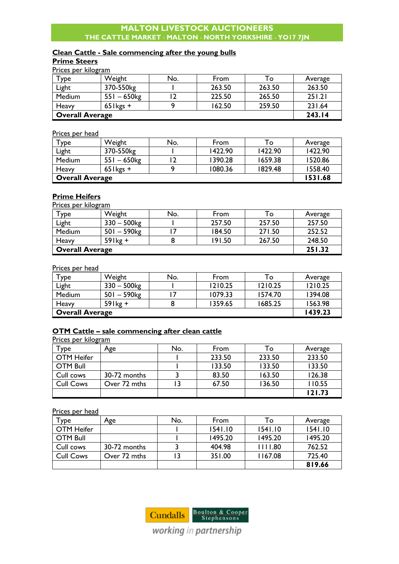#### **Clean Cattle - Sale commencing after the young bulls**

# **Prime Steers**

Prices per kilogram

| $\tau_{\texttt{ype}}$  | Weight         | No. | From   | To     | Average |
|------------------------|----------------|-----|--------|--------|---------|
| Light                  | 370-550kg      |     | 263.50 | 263.50 | 263.50  |
| Medium                 | $551 - 650$ kg |     | 225.50 | 265.50 | 251.21  |
| Heavy                  | $65$ kgs +     |     | 162.50 | 259.50 | 231.64  |
| <b>Overall Average</b> |                |     |        |        | 243.14  |

Prices per head

| $T$ ype                | Weight         | No. | From    | To:     | Average |
|------------------------|----------------|-----|---------|---------|---------|
| Light                  | 370-550kg      |     | 1422.90 | 1422.90 | 1422.90 |
| <b>Medium</b>          | $551 - 650$ kg |     | 1390.28 | 1659.38 | 1520.86 |
| Heavy                  | $65$ l kgs +   |     | 1080.36 | 1829.48 | 1558.40 |
| <b>Overall Average</b> |                |     |         |         | 1531.68 |

# **Prime Heifers**

Prices per kilogram

| Туре                   | Weight                    | No. | From   | To     | Average |
|------------------------|---------------------------|-----|--------|--------|---------|
| Light                  | $330 - 500$ kg            |     | 257.50 | 257.50 | 257.50  |
| Medium                 | $501 - 590$ <sub>kg</sub> |     | 184.50 | 271.50 | 252.52  |
| Heavy                  | $59$ lkg +                |     | 191.50 | 267.50 | 248.50  |
| <b>Overall Average</b> |                           |     |        |        | 251.32  |

Prices per head

| ™уре                   | Weight         | No. | From    | To.     | Average |
|------------------------|----------------|-----|---------|---------|---------|
| Light                  | $330 - 500$ kg |     | 1210.25 | 1210.25 | 1210.25 |
| <b>Medium</b>          | $501 - 590$ kg |     | 1079.33 | 1574.70 | 1394.08 |
| Heavy                  | $59$ lkg +     |     | 1359.65 | 1685.25 | 1563.98 |
| <b>Overall Average</b> | 1439.23        |     |         |         |         |

# **OTM Cattle – sale commencing after clean cattle**

Prices per kilogram

| $\tau_{\rm YDe}$  | Age          | No. | From   | To     | Average |
|-------------------|--------------|-----|--------|--------|---------|
| <b>OTM Heifer</b> |              |     | 233.50 | 233.50 | 233.50  |
| <b>OTM Bull</b>   |              |     | 133.50 | 133.50 | 133.50  |
| Cull cows         | 30-72 months |     | 83.50  | 163.50 | 126.38  |
| <b>Cull Cows</b>  | Over 72 mths |     | 67.50  | 136.50 | 110.55  |
|                   |              |     |        |        | 121.73  |

Prices per head

| $\mathsf{r}_{\mathsf{ype}}$ | Age          | No. | From    | To      | Average |
|-----------------------------|--------------|-----|---------|---------|---------|
| <b>OTM Heifer</b>           |              |     | 1541.10 | 1541.10 | 1541.10 |
| <b>OTM Bull</b>             |              |     | 1495.20 | 1495.20 | 1495.20 |
| Cull cows                   | 30-72 months |     | 404.98  | 1111.80 | 762.52  |
| <b>Cull Cows</b>            | Over 72 mths | 13  | 351.00  | 1167.08 | 725.40  |
|                             |              |     |         |         | 819.66  |



working in partnership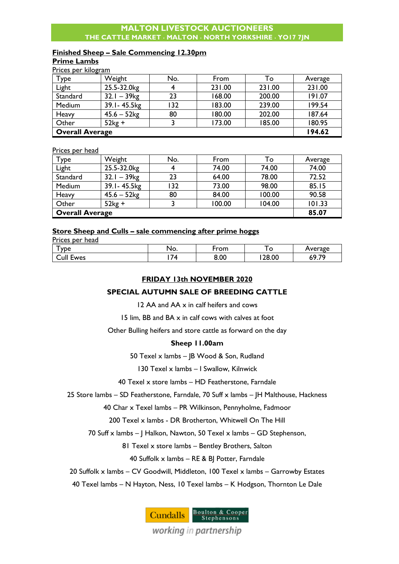#### **Finished Sheep – Sale Commencing 12.30pm**

# **Prime Lambs**

Prices per kilogram

| Type                   | Weight                    | No. | From   | To     | Average |
|------------------------|---------------------------|-----|--------|--------|---------|
| Light                  | 25.5-32.0kg               |     | 231.00 | 231.00 | 231.00  |
| Standard               | $32.1 - 39$ <sub>kg</sub> | 23  | 168.00 | 200.00 | 191.07  |
| Medium                 | 39.1-45.5kg               | 132 | 183.00 | 239.00 | 199.54  |
| Heavy                  | $45.6 - 52kg$             | 80  | 180.00 | 202.00 | 187.64  |
| Other                  | $52kg +$                  |     | 173.00 | 185.00 | 180.95  |
| <b>Overall Average</b> |                           |     |        |        | 194.62  |

Prices per head

| Type                   | Weight                    | No. | From   | To     | Average |
|------------------------|---------------------------|-----|--------|--------|---------|
| Light                  | 25.5-32.0kg               |     | 74.00  | 74.00  | 74.00   |
| Standard               | $32.1 - 39$ <sub>kg</sub> | 23  | 64.00  | 78.00  | 72.52   |
| Medium                 | 39.1 - 45.5 kg            | 132 | 73.00  | 98.00  | 85.15   |
| Heavy                  | $45.6 - 52$ kg            | 80  | 84.00  | 100.00 | 90.58   |
| Other                  | $52kg +$                  |     | 100.00 | 104.00 | 101.33  |
| <b>Overall Average</b> |                           |     |        |        | 85.07   |

#### **Store Sheep and Culls – sale commencing after prime hoggs**

Prices per head

| <b>YDe</b>                           | NO.                            | -rom | ╰     | Average                         |
|--------------------------------------|--------------------------------|------|-------|---------------------------------|
| $\mathsf{Lull}$ $\mathsf{F}$<br>Ewes | $\overline{\phantom{a}}$<br>74 | 8.00 | 28.00 | ה י<br>$\mathbf{a}$<br>$\cdots$ |

#### **FRIDAY 13th NOVEMBER 2020**

#### **SPECIAL AUTUMN SALE OF BREEDING CATTLE**

12 AA and AA x in calf heifers and cows

15 lim, BB and BA x in calf cows with calves at foot

Other Bulling heifers and store cattle as forward on the day

#### **Sheep 11.00am**

50 Texel x lambs – JB Wood & Son, Rudland

130 Texel x lambs – I Swallow, Kilnwick

40 Texel x store lambs – HD Featherstone, Farndale

25 Store lambs – SD Featherstone, Farndale, 70 Suff x lambs – JH Malthouse, Hackness

40 Char x Texel lambs – PR Wilkinson, Pennyholme, Fadmoor

200 Texel x lambs - DR Brotherton, Whitwell On The Hill

70 Suff x lambs – J Halkon, Nawton, 50 Texel x lambs – GD Stephenson,

81 Texel x store lambs – Bentley Brothers, Salton

40 Suffolk x lambs – RE & BJ Potter, Farndale

20 Suffolk x lambs – CV Goodwill, Middleton, 100 Texel x lambs – Garrowby Estates

40 Texel lambs – N Hayton, Ness, 10 Texel lambs – K Hodgson, Thornton Le Dale



working in partnership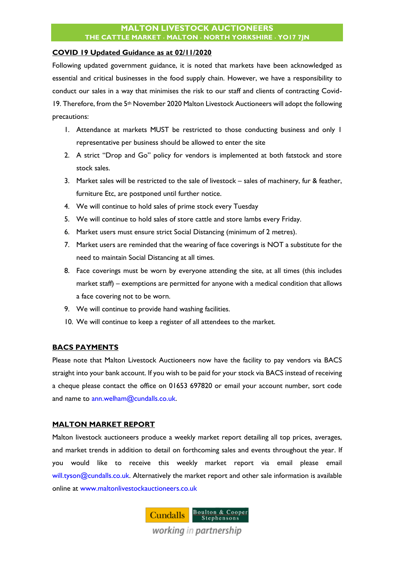#### **COVID 19 Updated Guidance as at 02/11/2020**

Following updated government guidance, it is noted that markets have been acknowledged as essential and critical businesses in the food supply chain. However, we have a responsibility to conduct our sales in a way that minimises the risk to our staff and clients of contracting Covid-19. Therefore, from the 5<sup>th</sup> November 2020 Malton Livestock Auctioneers will adopt the following precautions:

- 1. Attendance at markets MUST be restricted to those conducting business and only 1 representative per business should be allowed to enter the site
- 2. A strict "Drop and Go" policy for vendors is implemented at both fatstock and store stock sales.
- 3. Market sales will be restricted to the sale of livestock sales of machinery, fur & feather, furniture Etc, are postponed until further notice.
- 4. We will continue to hold sales of prime stock every Tuesday
- 5. We will continue to hold sales of store cattle and store lambs every Friday.
- 6. Market users must ensure strict Social Distancing (minimum of 2 metres).
- 7. Market users are reminded that the wearing of face coverings is NOT a substitute for the need to maintain Social Distancing at all times.
- 8. Face coverings must be worn by everyone attending the site, at all times (this includes market staff) – exemptions are permitted for anyone with a medical condition that allows a face covering not to be worn.
- 9. We will continue to provide hand washing facilities.
- 10. We will continue to keep a register of all attendees to the market.

#### **BACS PAYMENTS**

Please note that Malton Livestock Auctioneers now have the facility to pay vendors via BACS straight into your bank account. If you wish to be paid for your stock via BACS instead of receiving a cheque please contact the office on 01653 697820 or email your account number, sort code and name to [ann.welham@cundalls.co.uk.](mailto:ann.welham@cundalls.co.uk)

#### **MALTON MARKET REPORT**

Malton livestock auctioneers produce a weekly market report detailing all top prices, averages, and market trends in addition to detail on forthcoming sales and events throughout the year. If you would like to receive this weekly market report via email please email [will.tyson@cundalls.co.uk.](mailto:will.tyson@cundalls.co.uk) Alternatively the market report and other sale information is available online at [www.maltonlivestockauctioneers.co.uk](http://www.maltonlivestockauctioneers.co.uk/)